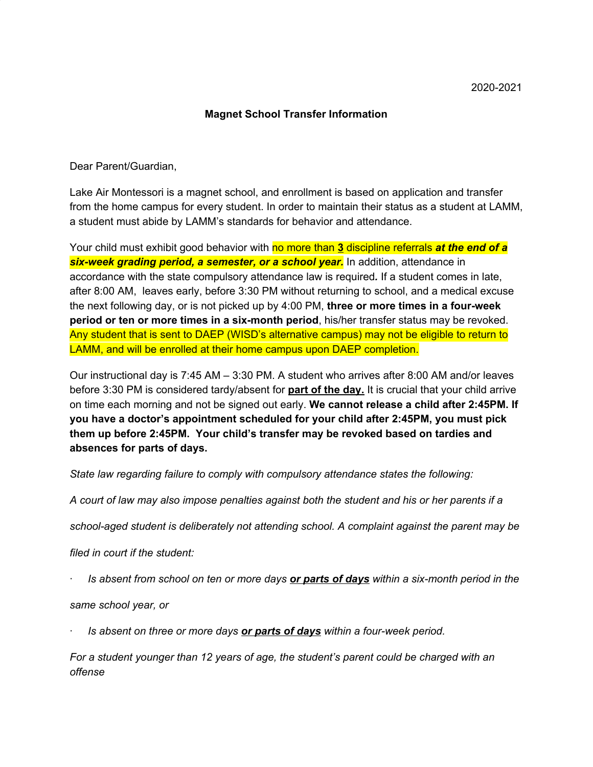## **Magnet School Transfer Information**

Dear Parent/Guardian,

Lake Air Montessori is a magnet school, and enrollment is based on application and transfer from the home campus for every student. In order to maintain their status as a student at LAMM, a student must abide by LAMM's standards for behavior and attendance.

Your child must exhibit good behavior with no more than **3** discipline referrals *at the end of a six-week grading period, a semester, or a school year.* In addition, attendance in accordance with the state compulsory attendance law is required*.* If a student comes in late, after 8:00 AM, leaves early, before 3:30 PM without returning to school, and a medical excuse the next following day, or is not picked up by 4:00 PM, **three or more times in a four-week period or ten or more times in a six-month period**, his/her transfer status may be revoked. Any student that is sent to DAEP (WISD's alternative campus) may not be eligible to return to LAMM, and will be enrolled at their home campus upon DAEP completion.

Our instructional day is 7:45 AM – 3:30 PM. A student who arrives after 8:00 AM and/or leaves before 3:30 PM is considered tardy/absent for **part of the day.** It is crucial that your child arrive on time each morning and not be signed out early. **We cannot release a child after 2:45PM. If you have a doctor's appointment scheduled for your child after 2:45PM, you must pick them up before 2:45PM. Your child's transfer may be revoked based on tardies and absences for parts of days.**

*State law regarding failure to comply with compulsory attendance states the following:*

A court of law may also impose penalties against both the student and his or her parents if a

*school-aged student is deliberately not attending school. A complaint against the parent may be*

*filed in court if the student:*

Is absent from school on ten or more days or parts of days within a six-month period in the

*same school year, or*

· *Is absent on three or more days or parts of days within a four-week period.*

*For a student younger than 12 years of age, the student's parent could be charged with an offense*